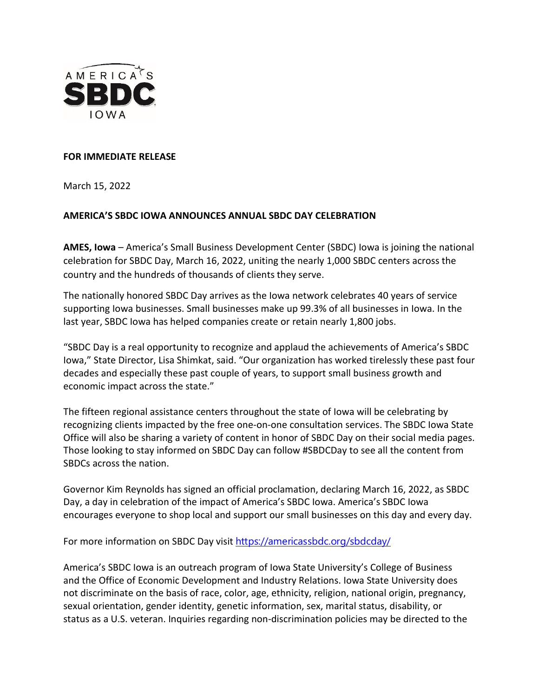

## **FOR IMMEDIATE RELEASE**

March 15, 2022

## **AMERICA'S SBDC IOWA ANNOUNCES ANNUAL SBDC DAY CELEBRATION**

**AMES, Iowa** – America's Small Business Development Center (SBDC) Iowa is joining the national celebration for SBDC Day, March 16, 2022, uniting the nearly 1,000 SBDC centers across the country and the hundreds of thousands of clients they serve.

The nationally honored SBDC Day arrives as the Iowa network celebrates 40 years of service supporting Iowa businesses. Small businesses make up 99.3% of all businesses in Iowa. In the last year, SBDC Iowa has helped companies create or retain nearly 1,800 jobs.

"SBDC Day is a real opportunity to recognize and applaud the achievements of America's SBDC Iowa," State Director, Lisa Shimkat, said. "Our organization has worked tirelessly these past four decades and especially these past couple of years, to support small business growth and economic impact across the state."

The fifteen regional assistance centers throughout the state of Iowa will be celebrating by recognizing clients impacted by the free one-on-one consultation services. The SBDC Iowa State Office will also be sharing a variety of content in honor of SBDC Day on their social media pages. Those looking to stay informed on SBDC Day can follow #SBDCDay to see all the content from SBDCs across the nation.

Governor Kim Reynolds has signed an official proclamation, declaring March 16, 2022, as SBDC Day, a day in celebration of the impact of America's SBDC Iowa. America's SBDC Iowa encourages everyone to shop local and support our small businesses on this day and every day.

For more information on SBDC Day visit [https://americassbdc.org/sbdcday/](https://americassbdc.org/sbdcday/?fbclid=IwAR0RbBIEt9HBDRZNiJC3Jj2SpRvUwm1LpzqXLg-BqrIYtQiI9L6GA-ph6qE)

America's SBDC Iowa is an outreach program of Iowa State University's College of Business and the Office of Economic Development and Industry Relations. Iowa State University does not discriminate on the basis of race, color, age, ethnicity, religion, national origin, pregnancy, sexual orientation, gender identity, genetic information, sex, marital status, disability, or status as a U.S. veteran. Inquiries regarding non-discrimination policies may be directed to the